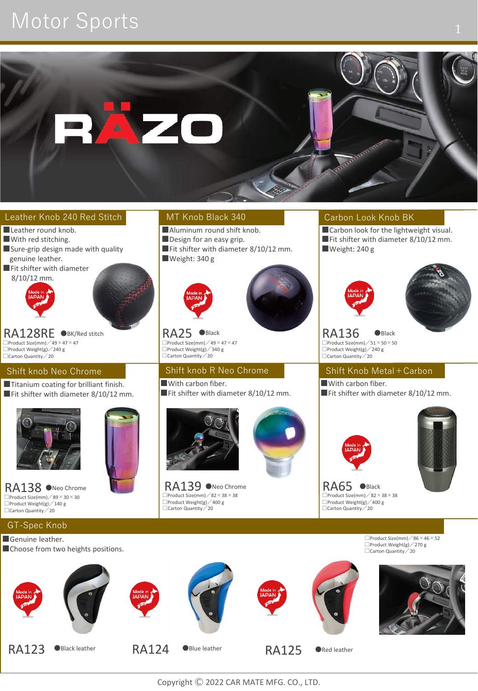# Motor Sports 1



#### Leather Knob 240 Red Stitch

- RA128RE OBK/Red stitch  $\Box$ Product Size(mm)  $\angle$  49  $\times$  47  $\times$  47 □Product Weight(g)/240 g ■Leather round knob. ■With red stitching. ■Sure-grip design made with quality genuine leather. ■Fit shifter with diameter 8/10/12 mm. ●BK/Red stitch RA25 ●Black RA136 ●Black Shift knob Neo Chrome ■Titanium coating for brilliant finish. ■Fit shifter with diameter 8/10/12 mm.  $\Box$ Carton Quantity  $\angle$  20  $\Box$ Carton  $\Box$ Carton  $\Box$ Carton  $\Box$ Carton  $\Box$ Carton  $\Box$ Carton  $\Box$ Carton  $\Box$ Carton  $\Box$ Carton  $\Box$ Carton  $\Box$ Carton  $\Box$ Carton  $\Box$ Carton  $\Box$ Carton  $\Box$ Carton  $\Box$ Carton  $\Box$ Carton  $\Box$ Ca
	- RA138 ONeo Chrome  $\Box$ Product Size(mm)  $\angle$  89  $\times$  30  $\times$  30  $\Box$ Product Weight(g)  $\angle$  140 g<br> $\Box$ Carton Quantity  $\angle$  20

GT-Spec Knob Genuine leather.

### MT Knob Black 340

- ■Aluminum round shift knob. ■Design for an easy grip. ■Fit shifter with diameter 8/10/12 mm.
- ■Weight: 340 g



RA25 ●Black  $\Box$ Product Size(mm) / 49 × 47 × 47  $\Box$ Product Weight(g)  $\angle$  340 g<br> $\Box$ Carton Quantity  $\angle$  20

#### Shift knob R Neo Chrome ■With carbon fiber. ■Fit shifter with diameter 8/10/12 mm.



RA139 ONeo Chrome  $\Box$ Product Size(mm)  $\angle$  82  $\times$  38  $\times$  38 □Product Weight(g)/400 g □Carton Quantity/20



●Neo Chrome **Black**<br>●Black

### Carbon Look Knob BK

■ Carbon look for the lightweight visual. ■Fit shifter with diameter 8/10/12 mm. ■Weight: 240 g





 $\square$ Product Size(mm)  $/51 \times 50 \times 50$ □Product Weight(g)/240 g

## Shift Knob Metal+Carbon

■With carbon fiber. ■Fit shifter with diameter 8/10/12 mm.



□Product Weight(g) / 400 g<br>□Carton Quantity / 20  $\square$ Product Size(mm)  $\angle$  82  $\times$  38  $\times$  38